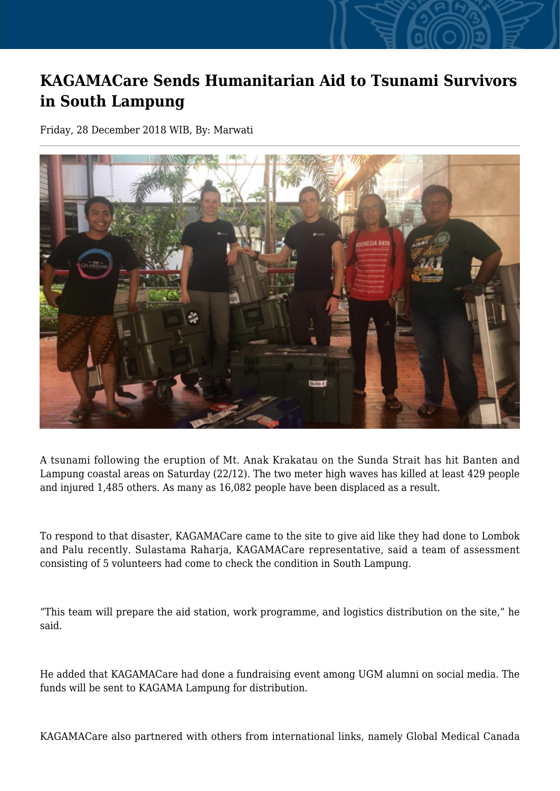## **KAGAMACare Sends Humanitarian Aid to Tsunami Survivors in South Lampung**

Friday, 28 December 2018 WIB, By: Marwati



A tsunami following the eruption of Mt. Anak Krakatau on the Sunda Strait has hit Banten and Lampung coastal areas on Saturday (22/12). The two meter high waves has killed at least 429 people and injured 1,485 others. As many as 16,082 people have been displaced as a result.

To respond to that disaster, KAGAMACare came to the site to give aid like they had done to Lombok and Palu recently. Sulastama Raharja, KAGAMACare representative, said a team of assessment consisting of 5 volunteers had come to check the condition in South Lampung.

"This team will prepare the aid station, work programme, and logistics distribution on the site," he said.

He added that KAGAMACare had done a fundraising event among UGM alumni on social media. The funds will be sent to KAGAMA Lampung for distribution.

KAGAMACare also partnered with others from international links, namely Global Medical Canada